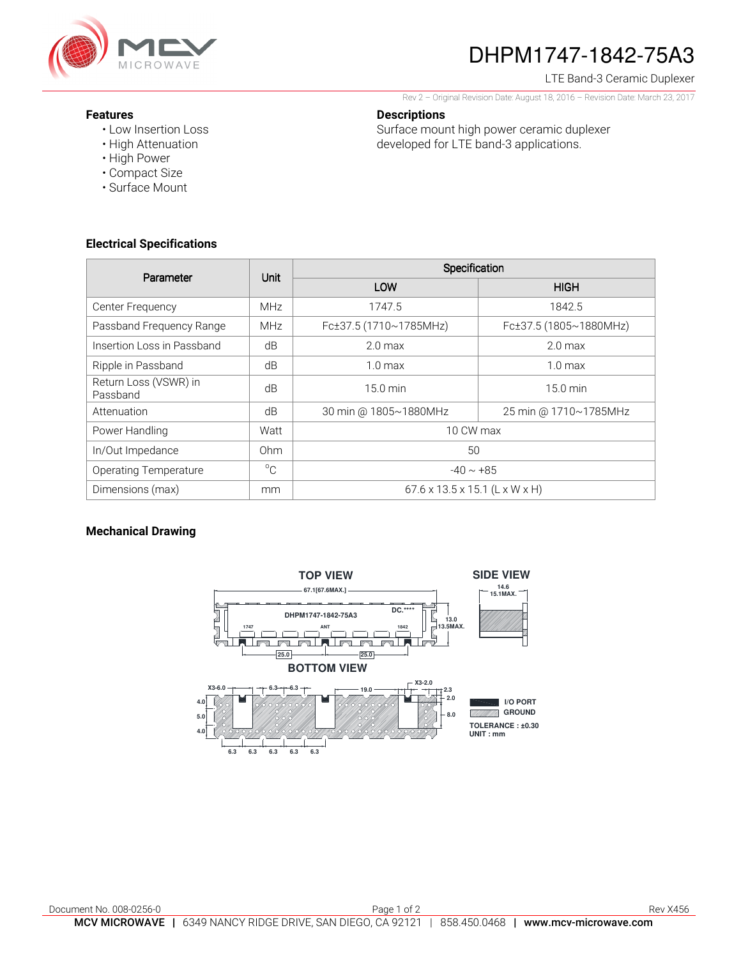

# DHPM1747-1842-75A3

LTE Band-3 Ceramic Duplexer

Rev 2 – Original Revision Date: August 18, 2016 – Revision Date: March 23, 2017

#### **Descriptions**

Surface mount high power ceramic duplexer developed for LTE band-3 applications.

- **Features** 
	- Low Insertion Loss
	- High Attenuation • High Power
	- Compact Size
	- Surface Mount

## **Electrical Specifications**

| Parameter                         | Unit         | Specification                              |                        |
|-----------------------------------|--------------|--------------------------------------------|------------------------|
|                                   |              | LOW                                        | <b>HIGH</b>            |
| Center Frequency                  | <b>MHz</b>   | 1747.5                                     | 1842.5                 |
| Passband Frequency Range          | <b>MHz</b>   | Fc±37.5 (1710~1785MHz)                     | Fc±37.5 (1805~1880MHz) |
| Insertion Loss in Passband        | dB           | 2.0 <sub>max</sub>                         | 2.0 <sub>max</sub>     |
| Ripple in Passband                | dB           | $1.0 \text{ max}$                          | 1.0 <sub>max</sub>     |
| Return Loss (VSWR) in<br>Passband | dB           | $15.0 \text{ min}$                         | $15.0 \text{ min}$     |
| Attenuation                       | dB           | 30 min @ 1805~1880MHz                      | 25 min @ 1710~1785MHz  |
| Power Handling                    | Watt         | 10 CW max                                  |                        |
| In/Out Impedance                  | Ohm          | 50                                         |                        |
| <b>Operating Temperature</b>      | $^{\circ}$ C | $-40 \sim +85$                             |                        |
| Dimensions (max)                  | mm           | $67.6 \times 13.5 \times 15.1$ (L x W x H) |                        |

### **Mechanical Drawing**